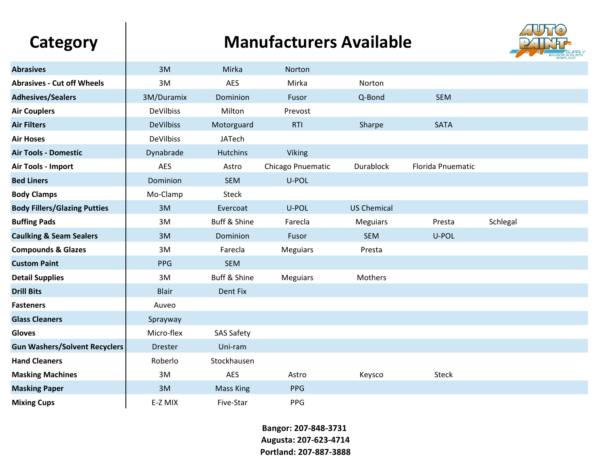## Category | Manufacturers Available



| <b>Abrasives</b>                     | 3M               | Mirka             | Norton            |                    |                   |          |  |
|--------------------------------------|------------------|-------------------|-------------------|--------------------|-------------------|----------|--|
| <b>Abrasives - Cut off Wheels</b>    | 3M               | <b>AES</b>        | Mirka             | Norton             |                   |          |  |
| <b>Adhesives/Sealers</b>             | 3M/Duramix       | Dominion          | Fusor             | Q-Bond             | <b>SEM</b>        |          |  |
| <b>Air Couplers</b>                  | <b>DeVilbiss</b> | Milton            | Prevost           |                    |                   |          |  |
| <b>Air Filters</b>                   | <b>DeVilbiss</b> | Motorguard        | <b>RTI</b>        | Sharpe             | <b>SATA</b>       |          |  |
| <b>Air Hoses</b>                     | <b>DeVilbiss</b> | <b>JATech</b>     |                   |                    |                   |          |  |
| <b>Air Tools - Domestic</b>          | Dynabrade        | <b>Hutchins</b>   | <b>Viking</b>     |                    |                   |          |  |
| Air Tools - Import                   | <b>AES</b>       | Astro             | Chicago Pnuematic | <b>Durablock</b>   | Florida Pnuematic |          |  |
| <b>Bed Liners</b>                    | Dominion         | <b>SEM</b>        | U-POL             |                    |                   |          |  |
| <b>Body Clamps</b>                   | Mo-Clamp         | <b>Steck</b>      |                   |                    |                   |          |  |
| <b>Body Fillers/Glazing Putties</b>  | 3M               | Evercoat          | U-POL             | <b>US Chemical</b> |                   |          |  |
| <b>Buffing Pads</b>                  | 3M               | Buff & Shine      | Farecla           | <b>Meguiars</b>    | Presta            | Schlegal |  |
| <b>Caulking &amp; Seam Sealers</b>   | 3M               | Dominion          | Fusor             | <b>SEM</b>         | U-POL             |          |  |
| <b>Compounds &amp; Glazes</b>        | 3M               | Farecla           | <b>Meguiars</b>   | Presta             |                   |          |  |
| <b>Custom Paint</b>                  | <b>PPG</b>       | <b>SEM</b>        |                   |                    |                   |          |  |
| <b>Detail Supplies</b>               | 3M               | Buff & Shine      | <b>Meguiars</b>   | Mothers            |                   |          |  |
| <b>Drill Bits</b>                    | <b>Blair</b>     | Dent Fix          |                   |                    |                   |          |  |
| <b>Fasteners</b>                     | Auveo            |                   |                   |                    |                   |          |  |
| <b>Glass Cleaners</b>                | Sprayway         |                   |                   |                    |                   |          |  |
| Gloves                               | Micro-flex       | <b>SAS Safety</b> |                   |                    |                   |          |  |
| <b>Gun Washers/Solvent Recyclers</b> | <b>Drester</b>   | Uni-ram           |                   |                    |                   |          |  |
| <b>Hand Cleaners</b>                 | Roberlo          | Stockhausen       |                   |                    |                   |          |  |
| <b>Masking Machines</b>              | 3M               | <b>AES</b>        | Astro             | Keysco             | <b>Steck</b>      |          |  |
| <b>Masking Paper</b>                 | 3M               | <b>Mass King</b>  | <b>PPG</b>        |                    |                   |          |  |
| <b>Mixing Cups</b>                   | E-Z MIX          | Five-Star         | <b>PPG</b>        |                    |                   |          |  |

**Bangor: 207-848-3731 Augusta: 207-623-4714 Portland: 207-887-3888**